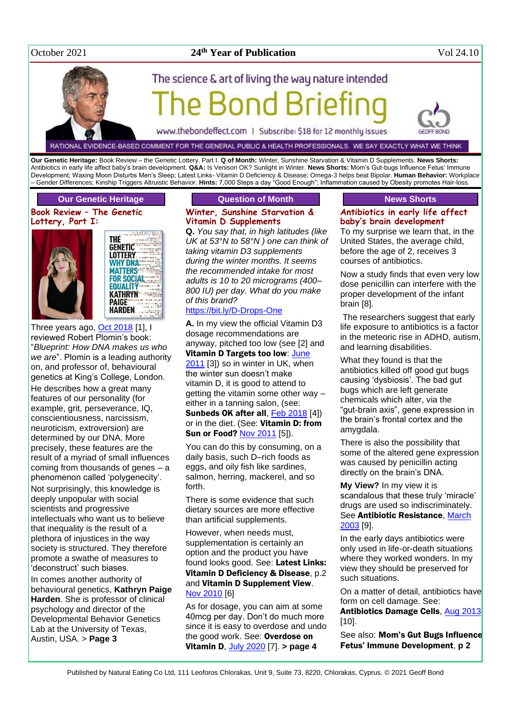### October 2021 **24**

# **the Year of Publication** Vol 24.10

# The science & art of living the way nature intended Bon

www.thebondeffect.com | Subscribe: \$18 for 12 monthly issues

RATIONAL EVIDENCE-BASED COMMENT FOR THE GENERAL PUBLIC & HEALTH PROFESSIONALS. WE SAY EXACTLY WHAT WE THINK

**Our Genetic Heritage:** Book Review – the Genetic Lottery. Part I. **Q of Month:** Winter, Sunshine Starvation & Vitamin D Supplements. **News Shorts:**  Antibiotics in early life affect baby's brain development. **Q&A:** Is Venison OK? Sunlight in Winter. **News Shorts:** Mom's Gut-bugs Influence Fetus' Immune Development; Waxing Moon Disturbs Men's Sleep; Latest Links- Vitamin D Deficiency & Disease; Omega-3 helps beat Bipolar. **Human Behavior:** Workplace – Gender Differences; Kinship Triggers Altruistic Behavior. **Hints:** 7,000 Steps a day "Good Enough"; Inflammation caused by Obesity promotes Hair-loss.

#### **Our Genetic Heritage**

#### **Book Review – The Genetic Lottery, Part I:**



THE **GENETIC LOTTERY WHY DNA MATTERS FOR SOCIAL EQUALITY KATHRYN** PAIGE **HARDEN** 

Three years ago, [Oct 2018](http://www.naturaleater.com/newsletter-archive/NEWS-2018/NEWS-2018-10.pdf) [1], I reviewed Robert Plomin's book: "*Blueprint: How DNA makes us who we are*". Plomin is a leading authority on, and professor of, behavioural genetics at King's College, London. He describes how a great many features of our personality (for example, grit, perseverance, IQ, conscientiousness, narcissism, neuroticism, extroversion) are determined by our DNA. More precisely, these features are the result of a myriad of small influences coming from thousands of genes – a phenomenon called 'polygenecity'.

Not surprisingly, this knowledge is deeply unpopular with social scientists and progressive intellectuals who want us to believe that inequality is the result of a plethora of injustices in the way society is structured. They therefore promote a swathe of measures to 'deconstruct' such biases.

In comes another authority of behavioural genetics, **Kathryn Paige Harden**. She is professor of clinical psychology and director of the Developmental Behavior Genetics Lab at the University of Texas, Austin, USA. > **Page 3**

#### **Question of Month**

#### **Winter, Sunshine Starvation & Vitamin D Supplements**

**Q.** *You say that, in high latitudes (like UK at 53°N to 58°N ) one can think of taking vitamin D3 supplements during the winter months. It seems the recommended intake for most adults is 10 to 20 micrograms (400– 800 IU) per day. What do you make of this brand?*

#### <https://bit.ly/D-Drops-One>

**A.** In my view the official Vitamin D3 dosage recommendations are anyway, pitched too low (see [2] and Vitamin D Targets too low: [June](http://www.naturaleater.com/newsletter-archive/NEWS-2011/NEWS-2011-06.pdf)  [2011](http://www.naturaleater.com/newsletter-archive/NEWS-2011/NEWS-2011-06.pdf) [3]) so in winter in UK, when the winter sun doesn't make vitamin D, it is good to attend to getting the vitamin some other way – either in a tanning salon, (see: Sunbeds OK after all, [Feb 2018](http://www.naturaleater.com/newsletter-archive/NEWS-2018/NEWS-2018-02.pdf) [4]) or in the diet. (See: Vitamin D: from **Sun or Food? [Nov 2011](http://www.naturaleater.com/newsletter-archive/NEWS-2011/NEWS-2011-11.pdf) [5]).** 

You can do this by consuming, on a daily basis, such D–rich foods as eggs, and oily fish like sardines, salmon, herring, mackerel, and so forth.

There is some evidence that such dietary sources are more effective than artificial supplements.

However, when needs must, supplementation is certainly an option and the product you have found looks good. See: Latest Links: Vitamin D Deficiency & Disease, p.2 and Vitamin D Supplement View. [Nov 2010](http://www.naturaleater.com/newsletter-archive/news-2010/news-2010-11.pdf) [6]

As for dosage, you can aim at some 40mcg per day. Don't do much more since it is easy to overdose and undo the good work. See: Overdose on Vitamin D, [July 2020](http://www.naturaleater.com/newsletter-archive/news-2020/news-2020-07.pdf) [7]. **> page 4**

#### **News Shorts**

### **Antibiotics in early life affect baby's brain development**

To my surprise we learn that, in the United States, the average child, before the age of 2, receives 3 courses of antibiotics.

Now a study finds that even very low dose penicillin can interfere with the proper development of the infant brain [8].

The researchers suggest that early life exposure to antibiotics is a factor in the meteoric rise in ADHD, autism, and learning disabilities.

What they found is that the antibiotics killed off good gut bugs causing 'dysbiosis'. The bad gut bugs which are left generate chemicals which alter, via the "gut-brain axis", gene expression in the brain's frontal cortex and the amygdala.

There is also the possibility that some of the altered gene expression was caused by penicillin acting directly on the brain's DNA.

**My View?** In my view it is scandalous that these truly 'miracle' drugs are used so indiscriminately. See Antibiotic Resistance, [March](http://www.naturaleater.com/newsletter-archive/NEWS-2003/NEWS-2003-03.pdf)  [2003](http://www.naturaleater.com/newsletter-archive/NEWS-2003/NEWS-2003-03.pdf) [9].

In the early days antibiotics were only used in life-or-death situations where they worked wonders. In my view they should be preserved for such situations.

On a matter of detail, antibiotics have form on cell damage. See: Antibiotics Damage Cells, [Aug 2013](http://www.naturaleater.com/newsletter-archive/NEWS-2013/NEWS-2013-08.pdf) [10].

See also: Mom's Gut Bugs Influence Fetus' Immune Development, **p 2**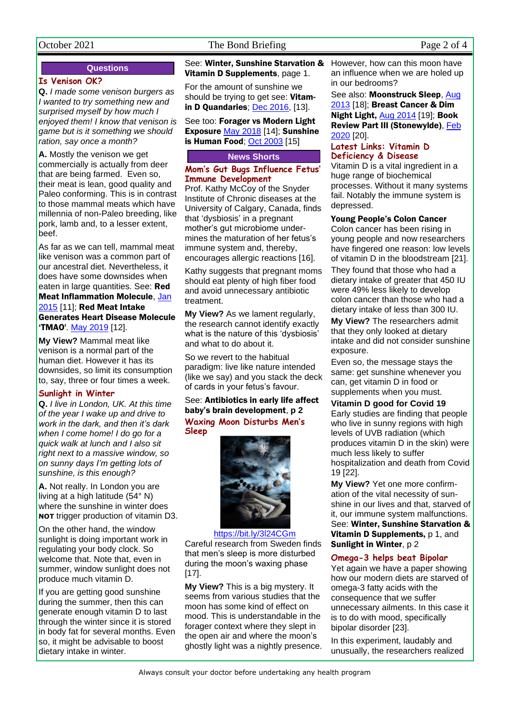# October 2021 The Bond Briefing Page 2 of 4

#### **Questions**

### **Is Venison OK?**

**Q.** *I made some venison burgers as I wanted to try something new and surprised myself by how much I enjoyed them! I know that venison is game but is it something we should ration, say once a month?*

**A.** Mostly the venison we get commercially is actually from deer that are being farmed. Even so, their meat is lean, good quality and Paleo conforming. This is in contrast to those mammal meats which have millennia of non-Paleo breeding, like pork, lamb and, to a lesser extent, beef.

As far as we can tell, mammal meat like venison was a common part of our ancestral diet. Nevertheless, it does have some downsides when eaten in large quantities. See: Red Meat Inflammation Molecule, Jan [2015](http://www.naturaleater.com/newsletter-archive/NEWS-2015/NEWS-2015-01.pdf) [11]; Red Meat Intake Generates Heart Disease Molecule 'TMAO'. [May 2019](http://www.naturaleater.com/NEWSLETTER-ARCHIVE/NEWS-2019/NEWS-2019-05.pdf) [12].

**My View?** Mammal meat like venison is a normal part of the human diet. However it has its downsides, so limit its consumption to, say, three or four times a week.

#### **Sunlight in Winter**

**Q.** *I live in London, UK. At this time of the year I wake up and drive to work in the dark, and then it's dark when I come home! I do go for a quick walk at lunch and I also sit right next to a massive window, so on sunny days I'm getting lots of sunshine, is this enough?*

**A.** Not really. In London you are living at a high latitude (54° N) where the sunshine in winter does **NOT** trigger production of vitamin D3.

On the other hand, the window sunlight is doing important work in regulating your body clock. So welcome that. Note that, even in summer, window sunlight does not produce much vitamin D.

If you are getting good sunshine during the summer, then this can generate enough vitamin D to last through the winter since it is stored in body fat for several months. Even so, it might be advisable to boost dietary intake in winter.

See: Winter, Sunshine Starvation & Vitamin D Supplements, page 1.

For the amount of sunshine we should be trying to get see: Vitamin D Quandaries; [Dec 2016,](http://www.naturaleater.com/newsletter-archive/NEWS-2016/NEWS-2016-12.pdf) [13].

See too: Forager vs Modern Light Exposure [May 2018](http://www.naturaleater.com/newsletter-archive/NEWS-2018/NEWS-2018-05.pdf) [14]; Sunshine is Human Food; [Oct 2003](http://www.naturaleater.com/newsletter-archive/NEWS-2003/NEWS-2003-10.pdf) [15]

### **News Shorts**

#### **Mom's Gut Bugs Influence Fetus' Immune Development**

Prof. Kathy McCoy of the Snyder Institute of Chronic diseases at the University of Calgary, Canada, finds that 'dysbiosis' in a pregnant mother's gut microbiome undermines the maturation of her fetus's immune system and, thereby, encourages allergic reactions [16].

Kathy suggests that pregnant moms should eat plenty of high fiber food and avoid unnecessary antibiotic treatment.

**My View?** As we lament regularly, the research cannot identify exactly what is the nature of this 'dysbiosis' and what to do about it.

So we revert to the habitual paradigm: live like nature intended (like we say) and you stack the deck of cards in your fetus's favour.

See: Antibiotics in early life affect baby's brain development, **p 2 Waxing Moon Disturbs Men's Sleep**



#### <https://bit.ly/3l24CGm>

Careful research from Sweden finds that men's sleep is more disturbed during the moon's waxing phase [17].

**My View?** This is a big mystery. It seems from various studies that the moon has some kind of effect on mood. This is understandable in the forager context where they slept in the open air and where the moon's ghostly light was a nightly presence. However, how can this moon have an influence when we are holed up in our bedrooms?

See also: Moonstruck Sleep, Aug [2013](http://www.naturaleater.com/newsletter-archive/NEWS-2013/NEWS-2013-08.pdf) [18]; Breast Cancer & Dim Night Light, [Aug 2014](http://www.naturaleater.com/newsletter-archive/news-2014/news-2014-08.pdf) [19]; Book Review Part III (Stonewylde), [Feb](http://www.naturaleater.com/newsletter-archive/NEWS-2020/NEWS-2020-02.pdf)  [2020](http://www.naturaleater.com/newsletter-archive/NEWS-2020/NEWS-2020-02.pdf) [20].

#### **Latest Links: Vitamin D Deficiency & Disease**

Vitamin D is a vital ingredient in a huge range of biochemical processes. Without it many systems fail. Notably the immune system is depressed.

#### Young People's Colon Cancer

Colon cancer has been rising in young people and now researchers have fingered one reason: low levels of vitamin D in the bloodstream [21].

They found that those who had a dietary intake of greater that 450 IU were 49% less likely to develop colon cancer than those who had a dietary intake of less than 300 IU.

**My View?** The researchers admit that they only looked at dietary intake and did not consider sunshine exposure.

Even so, the message stays the same: get sunshine whenever you can, get vitamin D in food or supplements when you must.

#### **Vitamin D good for Covid 19**

Early studies are finding that people who live in sunny regions with high levels of UVB radiation (which produces vitamin D in the skin) were much less likely to suffer hospitalization and death from Covid 19 [22].

**My View?** Yet one more confirmation of the vital necessity of sunshine in our lives and that, starved of it, our immune system malfunctions. See: Winter, Sunshine Starvation & Vitamin D Supplements, p 1, and Sunlight in Winter, p 2

### **Omega-3 helps beat Bipolar**

Yet again we have a paper showing how our modern diets are starved of omega-3 fatty acids with the consequence that we suffer unnecessary ailments. In this case it is to do with mood, specifically bipolar disorder [23].

In this experiment, laudably and unusually, the researchers realized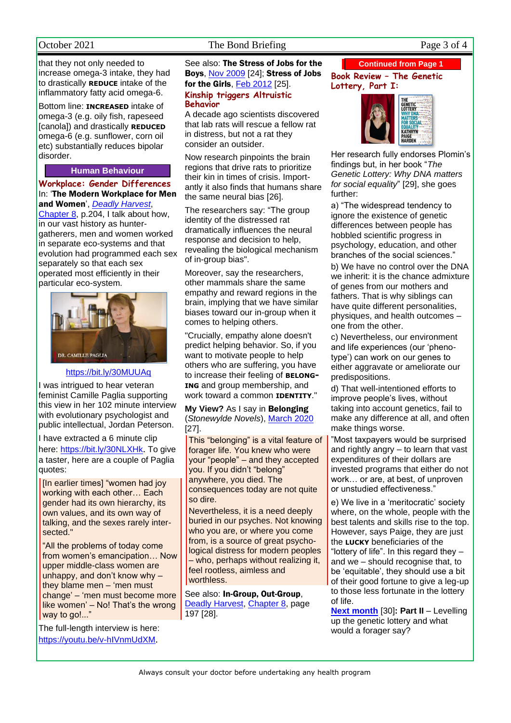that they not only needed to increase omega-3 intake, they had to drastically **REDUCE** intake of the inflammatory fatty acid omega-6.

Bottom line: **INCREASED** intake of omega-3 (e.g. oily fish, rapeseed [canola]) and drastically **REDUCED** omega-6 (e.g. sunflower, corn oil etc) substantially reduces bipolar disorder.

#### **Human Behaviour**

**Workplace: Gender Differences** In: 'The Modern Workplace for Men and Women', *[Deadly Harvest](http://www.deadlyharvest.com/)*, [Chapter 8,](http://bit.ly/ch-8) p.204, I talk about how, in our vast history as huntergatherers, men and women worked in separate eco-systems and that evolution had programmed each sex separately so that each sex operated most efficiently in their particular eco-system.



#### <https://bit.ly/30MUUAq>

I was intrigued to hear veteran feminist Camille Paglia supporting this view in her 102 minute interview with evolutionary psychologist and public intellectual, Jordan Peterson.

I have extracted a 6 minute clip here: <https://bit.ly/30NLXHk>. To give a taster, here are a couple of Paglia quotes:

[In earlier times] "women had joy working with each other… Each gender had its own hierarchy, its own values, and its own way of talking, and the sexes rarely intersected."

"All the problems of today come from women's emancipation… Now upper middle-class women are unhappy, and don't know why – they blame men – 'men must change' – 'men must become more like women' - No! That's the wrong way to go!..."

The full-length interview is here: <https://youtu.be/v-hIVnmUdXM>.

# October 2021 The Bond Briefing Page 3 of 4

See also: The Stress of Jobs for the Boys, [Nov 2009](http://www.naturaleater.com/newsletter-archive/news-2009/news-2009-11.pdf) [24]; Stress of Jobs for the Girls, [Feb 2012](http://www.naturaleater.com/newsletter-archive/NEWS-2010/NEWS-2010-02.pdf) [25].

#### **Kinship triggers Altruistic Behavior**

A decade ago scientists discovered that lab rats will rescue a fellow rat in distress, but not a rat they consider an outsider.

Now research pinpoints the brain regions that drive rats to prioritize their kin in times of crisis. Importantly it also finds that humans share the same neural bias [26].

The researchers say: "The group identity of the distressed rat dramatically influences the neural response and decision to help, revealing the biological mechanism of in-group bias".

Moreover, say the researchers, other mammals share the same empathy and reward regions in the brain, implying that we have similar biases toward our in-group when it comes to helping others.

"Crucially, empathy alone doesn't predict helping behavior. So, if you want to motivate people to help others who are suffering, you have to increase their feeling of **BELONG-ING** and group membership, and work toward a common **IDENTITY**."

**My View?** As I say in Belonging (*Stonewylde Novels*), [March 2020](http://www.naturaleater.com/newsletter-archive/news-2020/news-2020-03.pdf) [27].

This "belonging" is a vital feature of forager life. You knew who were your "people" – and they accepted you. If you didn't "belong" anywhere, you died. The consequences today are not quite so dire.

Nevertheless, it is a need deeply buried in our psyches. Not knowing who you are, or where you come from, is a source of great psychological distress for modern peoples – who, perhaps without realizing it, feel rootless, aimless and worthless.

See also: In-Group, Out-Group, [Deadly Harvest,](http://www.deadlyharvest.com/) [Chapter 8,](http://bit.ly/ch-8) page 197 [28].

#### **Continued from Page 1**

**Book Review – The Genetic Lottery, Part I:**



Her research fully endorses Plomin's findings but, in her book "*The Genetic Lottery: Why DNA matters for social equality*" [29], she goes further:

a) "The widespread tendency to ignore the existence of genetic differences between people has hobbled scientific progress in psychology, education, and other branches of the social sciences."

b) We have no control over the DNA we inherit: it is the chance admixture of genes from our mothers and fathers. That is why siblings can have quite different personalities, physiques, and health outcomes – one from the other.

c) Nevertheless, our environment and life experiences (our 'phenotype') can work on our genes to either aggravate or ameliorate our predispositions.

d) That well-intentioned efforts to improve people's lives, without taking into account genetics, fail to make any difference at all, and often make things worse.

"Most taxpayers would be surprised and rightly angry – to learn that vast expenditures of their dollars are invested programs that either do not work… or are, at best, of unproven or unstudied effectiveness."

e) We live in a 'meritocratic' society where, on the whole, people with the best talents and skills rise to the top. However, says Paige, they are just the **LUCKY** beneficiaries of the "lottery of life". In this regard they – and we – should recognise that, to be 'equitable', they should use a bit of their good fortune to give a leg-up to those less fortunate in the lottery of life.

**[Next month](http://www.naturaleater.com/newsletter-archive/news-2021/news-2021-11.pdf)** [30]**: Part II** – Levelling up the genetic lottery and what would a forager say?